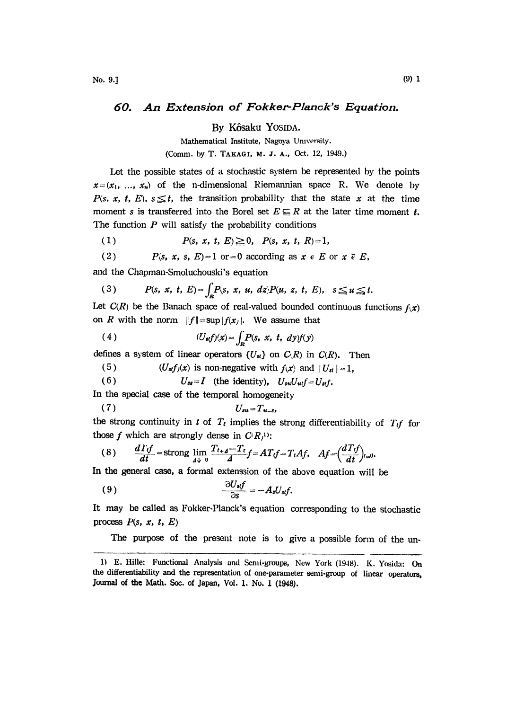## 60. An Extension of Fokker-Planck's Equation.

By K6saku YOSIDA.

Mathematical Institute, Nagoya University.

(Comm. by T. TAKAGI, M. J. A., Oct. 12, 1949.)

Let the possible states of a stochastic system be represented by the points  $x=(x_1, ..., x_n)$  of the n-dimensional Riemannian space R. We denote by P(s, x, t, E),  $s \leq t$ , the transition probability that the state x at the time moment s is transferred into the Borel set  $E \subseteq R$  at the later time moment t. The function  $P$  will satisfy the probability conditions

(1)  $P(s, x, t, E) \geq 0$ ,  $P(s, x, t, R)=1$ ,

(2) 
$$
P(s, x, s, E)=1
$$
 or  $=0$  according as  $x \in E$  or  $x \in E$ ,

and the Chapman-Smoluchouski's equation

$$
(3) \qquad P(s, x, t, E) = \int_{R} P(s, x, u, dz) P(u, z, t, E), \quad s \leq u \leq t.
$$

Let  $C(R)$  be the Banach space of real-valued bounded continuous functions  $f(x)$ on R with the norm  $||f|| = \sup |f(x)|$ . We assume that

(4) 
$$
(U_{st}f)(x) = \int_R P(s, x, t, dy)f(y)
$$

defines a system of linear operators  $\{U_{st}\}\$  on  $C_R(R)$  in  $C_R(R)$ . Then

5) 
$$
(U_{st}f_j(x))
$$
 is non-negative with  $f(x)$  and  $||U_{st}||=1$ ,

(6)  $U_{ss}=I$  (the identity),  $U_{su}U_{ud}f=U_{st}f$ .

In the special case of the temporal homogeneity

$$
(7) \tU_{su}=T_{u-s},
$$

the strong continuity in t of  $T_t$  implies the strong differentiability of  $T_t f$  for those f which are strongly dense in  $C(R)$ :

$$
(8) \qquad \frac{d\Gamma_{tf}}{dt} = \text{strong} \lim_{d\downarrow 0} \frac{T_{t+d} - T_t}{d} f = AT_tf = T_tAf, \quad Af = \left(\frac{dT_tf}{dt}\right)_{t=0}
$$

In the general case, a formal extenssion of the above equation will be

$$
\frac{\partial U_{st}f}{\partial s} = -A_s U_{st}f.
$$

It may be called as Fokker-Planck's equation corresponding to the stochastic process  $P(s, x, t, E)$ 

The purpose of the present note is to give a possible form of the un-

<sup>1)</sup> E. Hille: Functional Analysis and Semi-groups, New York (1948). K. Yosida: On the differentiability and the representation of one-parameter semi-group of linear operators, Journal of the Math. Soc. of Japan, Vol. 1. No. 1 (1948).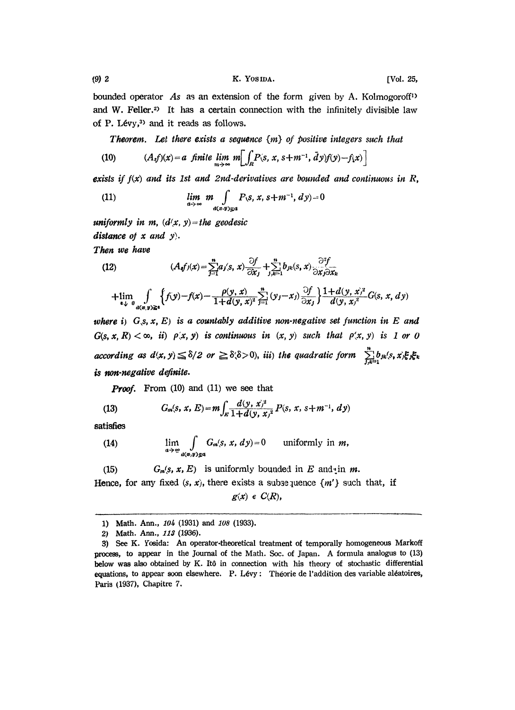bounded operator As as an extension of the form given by A. Kolmogoroff<sup>1</sup> and W. Feller.<sup>2)</sup> It has a certain connection with the infinitely divisible law of P. Lévy, $3$  and it reads as follows.

**Theorem.** Let there exists a sequence  $\{m\}$  of positive integers such that

(10) 
$$
(A_{\iota}f)(x) = a \quad \text{finite} \quad \lim_{m \to \infty} m \left[ \int_R P(s, x, s + m^{-1}, \bar{d}y) f(y) - f(x) \right]
$$

exists if  $f(x)$  and its 1st and 2nd-derivatives are bounded and continuous in R,

(11) 
$$
\lim_{a\to\infty} m \int_{a(x,y)\equiv a} P(s, x, s+m^{-1}, dy) = 0
$$

uniformly in m,  $(d(x, y)=$ the geodesic distance of  $x$  and  $y$ .

Then we have

(12) 
$$
(A_{\boldsymbol{\theta}}f)(x) = \sum_{j=1}^{n} a_j \langle s, x \rangle \frac{\partial f}{\partial x_j} + \sum_{j,k=1}^{n} b_{jk} \langle s, x \rangle \frac{\partial^2 f}{\partial x_j \partial x_k}
$$

$$
+\lim_{\epsilon\downarrow 0}\int\limits_{d(x,y)\geq\epsilon}\Big\{f(y)-f(x)-\frac{\rho(y,x)}{1+d(y,x)^2}\sum_{j=1}^n(y_j-x_j)\frac{\partial f}{\partial x_j}\Big\}\frac{1+d(y,x)^2}{d(y,x)^2}G(s,x,dy)
$$

where i)  $G, S, x, E$  is a countably additive non-negative set function in E and  $G(s, x, R) < \infty$ , ii)  $\rho(x, y)$  is continuous in  $(x, y)$  such that  $\rho(x, y)$  is 1 or 0 according as  $d(x, y) \le \delta/2$  or  $\ge \delta(\delta > 0)$ , iii) the quadratic form  $\sum_{f,k=1}^{n} b_{jk}(s, x) \xi_j \xi_k$ is non-negative definite.

**Proof.** From (10) and (11) we see that

(13) 
$$
G_m(s, x, E) = m \int_E \frac{d(y, x)^2}{1 + d(y, x)^2} P(s, x, s + m^{-1}, dy)
$$

satisfies

(14) 
$$
\lim_{a\to\infty}\int\limits_{a(\varpi,y)\leq a}G_m(s,x,dy)=0 \text{ uniformly in } m,
$$

(15) 
$$
G_m(s, x, E)
$$
 is uniformly bounded in E and in m.  
Hence, for any fixed  $(s, x)$ , there exists a subsequence  $\{m'\}$  such that, if

 $g(x) \in C(R)$ ,

<sup>1)</sup> Math. Ann., 104 (1931) and 108 (1933).

<sup>2)</sup> Math. Ann., 113 (1936).

<sup>3)</sup> See K. Yosida: An operator-theoretical treatment of temporally homogeneous Markoff process, to appear in the Journal of the Math. Soc. of Japan. A formula analogus to (13) below was alo obtained by K. It6 in connection with his theory of stochastic differential equations, to appear soon elsewhere. P. Lévy : Théorie de l'addition des variable aléatoires, Paris 1937), Chapitre 7.